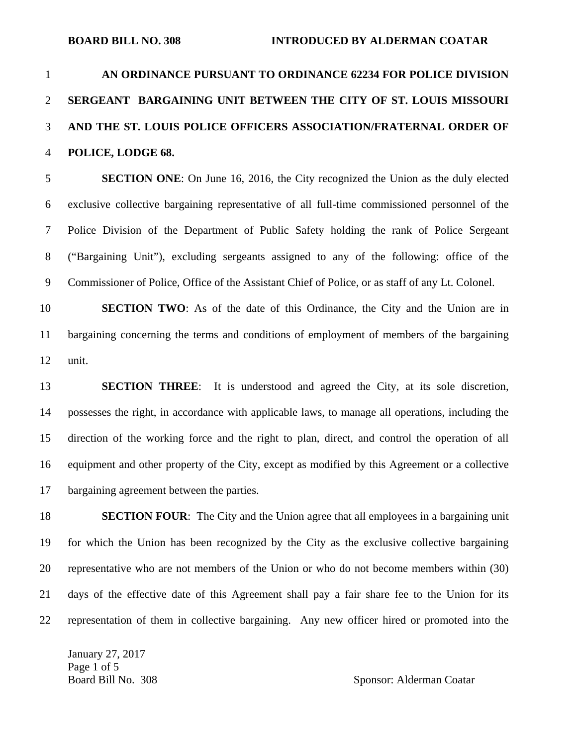# 1 **AN ORDINANCE PURSUANT TO ORDINANCE 62234 FOR POLICE DIVISION**  2 **SERGEANT BARGAINING UNIT BETWEEN THE CITY OF ST. LOUIS MISSOURI**  3 **AND THE ST. LOUIS POLICE OFFICERS ASSOCIATION/FRATERNAL ORDER OF**  4 **POLICE, LODGE 68.**

5 **SECTION ONE**: On June 16, 2016, the City recognized the Union as the duly elected 6 exclusive collective bargaining representative of all full-time commissioned personnel of the 7 Police Division of the Department of Public Safety holding the rank of Police Sergeant 8 ("Bargaining Unit"), excluding sergeants assigned to any of the following: office of the 9 Commissioner of Police, Office of the Assistant Chief of Police, or as staff of any Lt. Colonel.

10 **SECTION TWO**: As of the date of this Ordinance, the City and the Union are in 11 bargaining concerning the terms and conditions of employment of members of the bargaining 12 unit.

13 **SECTION THREE**: It is understood and agreed the City, at its sole discretion, 14 possesses the right, in accordance with applicable laws, to manage all operations, including the 15 direction of the working force and the right to plan, direct, and control the operation of all 16 equipment and other property of the City, except as modified by this Agreement or a collective 17 bargaining agreement between the parties.

18 **SECTION FOUR**: The City and the Union agree that all employees in a bargaining unit 19 for which the Union has been recognized by the City as the exclusive collective bargaining 20 representative who are not members of the Union or who do not become members within (30) 21 days of the effective date of this Agreement shall pay a fair share fee to the Union for its 22 representation of them in collective bargaining. Any new officer hired or promoted into the

January 27, 2017 Page 1 of 5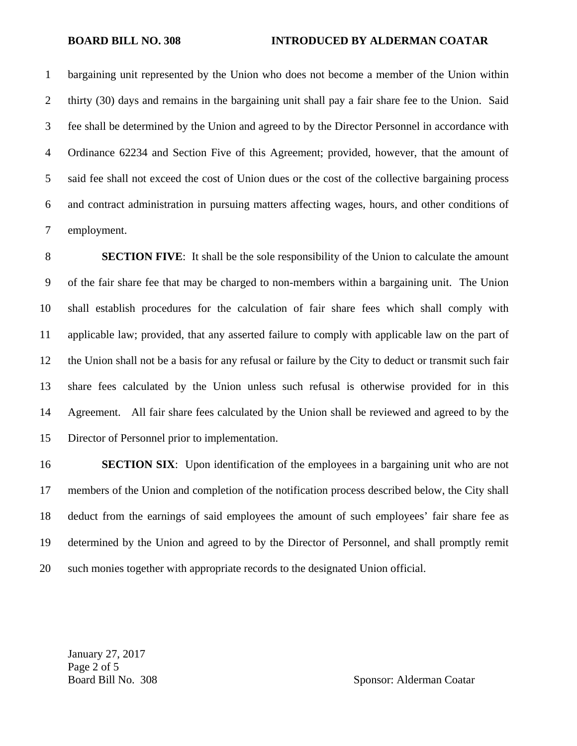1 bargaining unit represented by the Union who does not become a member of the Union within 2 thirty (30) days and remains in the bargaining unit shall pay a fair share fee to the Union. Said 3 fee shall be determined by the Union and agreed to by the Director Personnel in accordance with 4 Ordinance 62234 and Section Five of this Agreement; provided, however, that the amount of 5 said fee shall not exceed the cost of Union dues or the cost of the collective bargaining process 6 and contract administration in pursuing matters affecting wages, hours, and other conditions of 7 employment.

8 **SECTION FIVE**: It shall be the sole responsibility of the Union to calculate the amount 9 of the fair share fee that may be charged to non-members within a bargaining unit. The Union 10 shall establish procedures for the calculation of fair share fees which shall comply with 11 applicable law; provided, that any asserted failure to comply with applicable law on the part of 12 the Union shall not be a basis for any refusal or failure by the City to deduct or transmit such fair 13 share fees calculated by the Union unless such refusal is otherwise provided for in this 14 Agreement. All fair share fees calculated by the Union shall be reviewed and agreed to by the 15 Director of Personnel prior to implementation.

16 **SECTION SIX**: Upon identification of the employees in a bargaining unit who are not 17 members of the Union and completion of the notification process described below, the City shall 18 deduct from the earnings of said employees the amount of such employees' fair share fee as 19 determined by the Union and agreed to by the Director of Personnel, and shall promptly remit 20 such monies together with appropriate records to the designated Union official.

January 27, 2017 Page 2 of 5 Board Bill No. 308 Sponsor: Alderman Coatar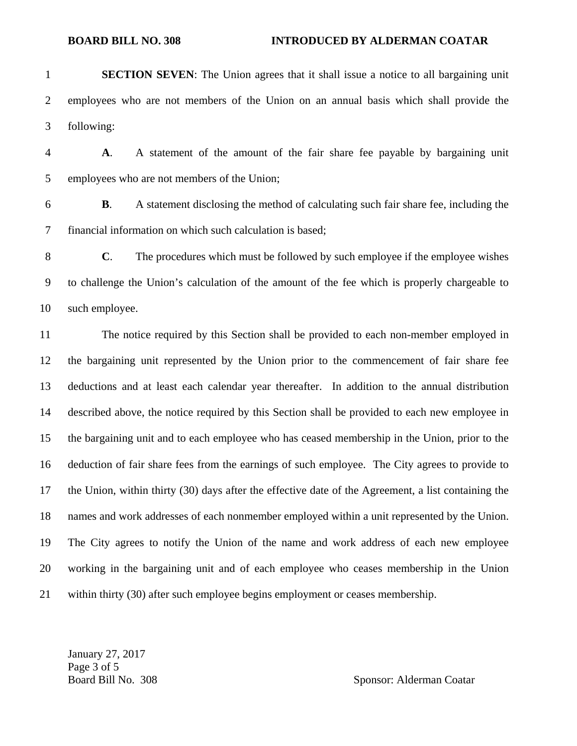- 1 **SECTION SEVEN**: The Union agrees that it shall issue a notice to all bargaining unit 2 employees who are not members of the Union on an annual basis which shall provide the 3 following:
- 4 **A**. A statement of the amount of the fair share fee payable by bargaining unit 5 employees who are not members of the Union;
- 6 **B**. A statement disclosing the method of calculating such fair share fee, including the 7 financial information on which such calculation is based;
- 8 **C**. The procedures which must be followed by such employee if the employee wishes 9 to challenge the Union's calculation of the amount of the fee which is properly chargeable to 10 such employee.
- 11 The notice required by this Section shall be provided to each non-member employed in 12 the bargaining unit represented by the Union prior to the commencement of fair share fee 13 deductions and at least each calendar year thereafter. In addition to the annual distribution 14 described above, the notice required by this Section shall be provided to each new employee in 15 the bargaining unit and to each employee who has ceased membership in the Union, prior to the 16 deduction of fair share fees from the earnings of such employee. The City agrees to provide to 17 the Union, within thirty (30) days after the effective date of the Agreement, a list containing the 18 names and work addresses of each nonmember employed within a unit represented by the Union. 19 The City agrees to notify the Union of the name and work address of each new employee 20 working in the bargaining unit and of each employee who ceases membership in the Union 21 within thirty (30) after such employee begins employment or ceases membership.

January 27, 2017 Page 3 of 5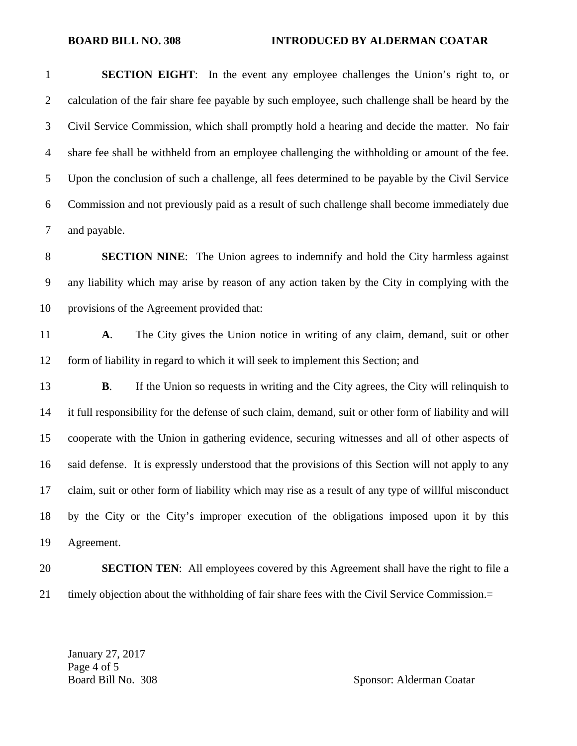1 **SECTION EIGHT**: In the event any employee challenges the Union's right to, or 2 calculation of the fair share fee payable by such employee, such challenge shall be heard by the 3 Civil Service Commission, which shall promptly hold a hearing and decide the matter. No fair 4 share fee shall be withheld from an employee challenging the withholding or amount of the fee. 5 Upon the conclusion of such a challenge, all fees determined to be payable by the Civil Service 6 Commission and not previously paid as a result of such challenge shall become immediately due 7 and payable.

8 **SECTION NINE**: The Union agrees to indemnify and hold the City harmless against 9 any liability which may arise by reason of any action taken by the City in complying with the 10 provisions of the Agreement provided that:

11 **A**. The City gives the Union notice in writing of any claim, demand, suit or other 12 form of liability in regard to which it will seek to implement this Section; and

13 **B.** If the Union so requests in writing and the City agrees, the City will relinquish to 14 it full responsibility for the defense of such claim, demand, suit or other form of liability and will 15 cooperate with the Union in gathering evidence, securing witnesses and all of other aspects of 16 said defense. It is expressly understood that the provisions of this Section will not apply to any 17 claim, suit or other form of liability which may rise as a result of any type of willful misconduct 18 by the City or the City's improper execution of the obligations imposed upon it by this 19 Agreement.

## 20 **SECTION TEN**: All employees covered by this Agreement shall have the right to file a 21 timely objection about the withholding of fair share fees with the Civil Service Commission.=

January 27, 2017 Page 4 of 5